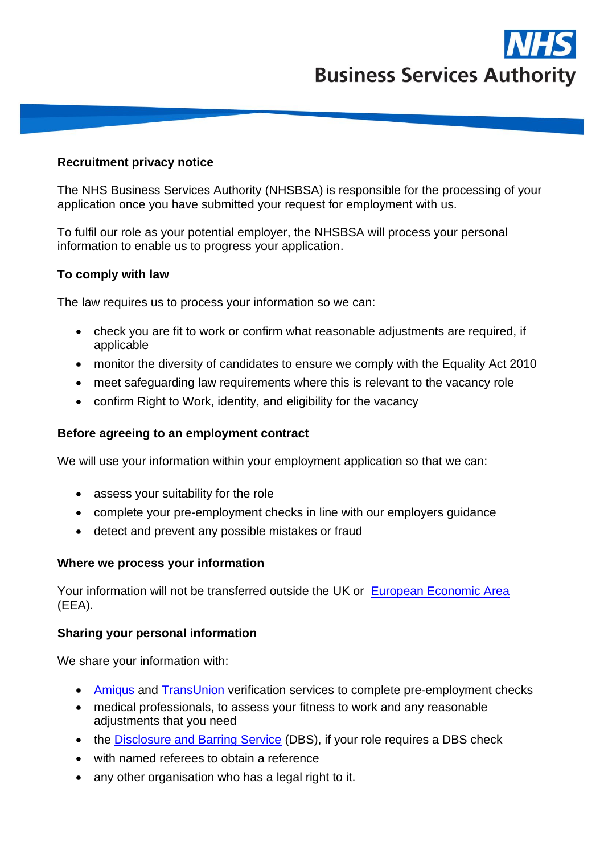

### **Recruitment privacy notice**

The NHS Business Services Authority (NHSBSA) is responsible for the processing of your application once you have submitted your request for employment with us.

To fulfil our role as your potential employer, the NHSBSA will process your personal information to enable us to progress your application.

## **To comply with law**

The law requires us to process your information so we can:

- check you are fit to work or confirm what reasonable adjustments are required, if applicable
- monitor the diversity of candidates to ensure we comply with the Equality Act 2010
- meet safeguarding law requirements where this is relevant to the vacancy role
- confirm Right to Work, identity, and eligibility for the vacancy

#### **Before agreeing to an employment contract**

We will use your information within your employment application so that we can:

- assess your suitability for the role
- complete your pre-employment checks in line with our employers guidance
- detect and prevent any possible mistakes or fraud

#### **Where we process your information**

Your information will not be transferred outside the UK or [European Economic Area](https://www.gov.uk/eu-eea) (EEA).

#### **Sharing your personal information**

We share your information with:

- [Amiqus](https://amiqus.co/policies/privacy) and [TransUnion](https://www.transunion.co.uk/legal-information/bureau-privacy-notice) verification services to complete pre-employment checks
- medical professionals, to assess your fitness to work and any reasonable adjustments that you need
- the [Disclosure and Barring Service](https://www.gov.uk/government/organisations/disclosure-and-barring-service/about) (DBS), if your role requires a DBS check
- with named referees to obtain a reference
- any other organisation who has a legal right to it.